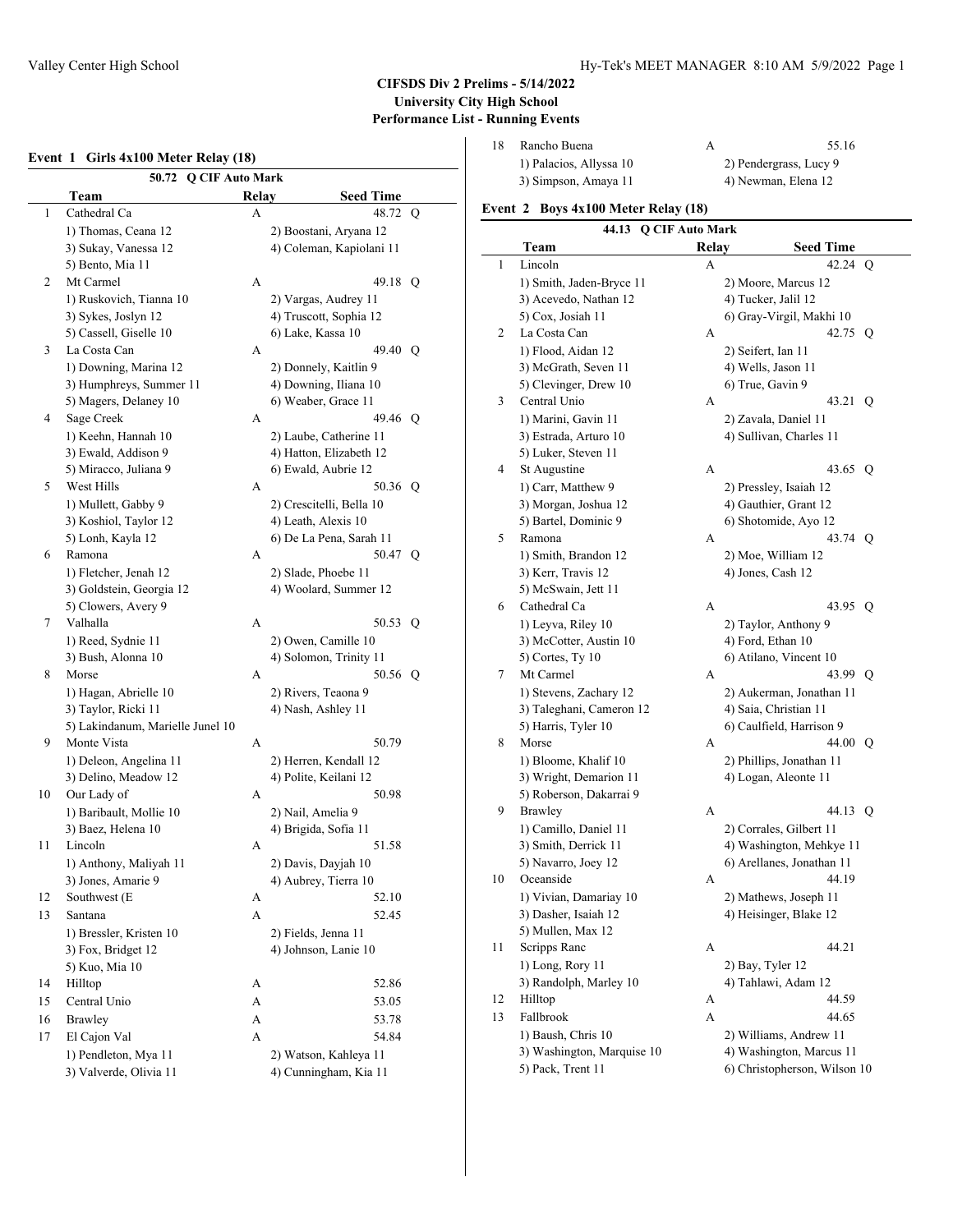1 Cathedral Ca

5) Bento, Mia 2 Mt Carmel 1) Ruskovich,

3 La Costa Can

4 Sage Creek

5 West Hills

6 Ramona

7 Valhalla

8 Morse

9 Monte Vista

10 Our Lady of

12 Southwest (E 13 Santana

11 Lincoln

14 Hilltop 15 Central Unio 16 Brawley 17 El Cajon Val

### Valley Center High School **Hy-Tek's MEET MANAGER 8:10 AM 5/9/2022** Page 1

# **CIFSDS Div 2 Prelims - 5/14/2022 University City High School Performance List - Running Events**

#### **Event 1 Girls 4x100 Meter Relay (18)**

**50.72 Q CIF Auto Mark Team Relay Seed Time**

| Rancho Buena            | 55.16                  |
|-------------------------|------------------------|
| 1) Palacios, Allyssa 10 | 2) Pendergrass, Lucy 9 |
| 3) Simpson, Amaya 11    | 4) Newman, Elena 12    |

#### **Event 2 Boys 4x100 Meter Relay (18)**

| Cathedral Ca                     | A | 48.72 Q                  |    | Event 2 Boys 4x100 Meter Relay (18) |  |                         |                              |  |
|----------------------------------|---|--------------------------|----|-------------------------------------|--|-------------------------|------------------------------|--|
| 1) Thomas, Ceana 12              |   | 2) Boostani, Aryana 12   |    | 44.13 Q CIF Auto Mark               |  |                         |                              |  |
| 3) Sukay, Vanessa 12             |   | 4) Coleman, Kapiolani 11 |    | Team                                |  | Relay                   | <b>Seed Time</b>             |  |
| 5) Bento, Mia 11                 |   |                          | 1  | Lincoln                             |  | A                       | 42.24 Q                      |  |
| Mt Carmel                        | A | 49.18 Q                  |    | 1) Smith, Jaden-Bryce 11            |  | 2) Moore, Marcus 12     |                              |  |
| 1) Ruskovich, Tianna 10          |   | 2) Vargas, Audrey 11     |    | 3) Acevedo, Nathan 12               |  | 4) Tucker, Jalil 12     |                              |  |
| 3) Sykes, Joslyn 12              |   | 4) Truscott, Sophia 12   |    | 5) Cox, Josiah 11                   |  |                         | 6) Gray-Virgil, Makhi 10     |  |
| 5) Cassell, Giselle 10           |   | 6) Lake, Kassa 10        | 2  | La Costa Can                        |  | А                       | 42.75 Q                      |  |
| La Costa Can                     | A | 49.40 Q                  |    | 1) Flood, Aidan 12                  |  | 2) Seifert, Ian 11      |                              |  |
| 1) Downing, Marina 12            |   | 2) Donnely, Kaitlin 9    |    | 3) McGrath, Seven 11                |  | 4) Wells, Jason 11      |                              |  |
| 3) Humphreys, Summer 11          |   | 4) Downing, Iliana 10    |    | 5) Clevinger, Drew 10               |  | 6) True, Gavin 9        |                              |  |
| 5) Magers, Delaney 10            |   | 6) Weaber, Grace 11      | 3  | Central Unio                        |  | A                       | 43.21 Q                      |  |
| Sage Creek                       | A | 49.46 Q                  |    | 1) Marini, Gavin 11                 |  | 2) Zavala, Daniel 11    |                              |  |
| 1) Keehn, Hannah 10              |   | 2) Laube, Catherine 11   |    | 3) Estrada, Arturo 10               |  |                         | 4) Sullivan, Charles 11      |  |
| 3) Ewald, Addison 9              |   | 4) Hatton, Elizabeth 12  |    | 5) Luker, Steven 11                 |  |                         |                              |  |
| 5) Miracco, Juliana 9            |   | 6) Ewald, Aubrie 12      | 4  | St Augustine                        |  | A                       | 43.65 Q                      |  |
| West Hills                       | A | 50.36 Q                  |    | 1) Carr, Matthew 9                  |  | 2) Pressley, Isaiah 12  |                              |  |
| 1) Mullett, Gabby 9              |   | 2) Crescitelli, Bella 10 |    | 3) Morgan, Joshua 12                |  | 4) Gauthier, Grant 12   |                              |  |
| 3) Koshiol, Taylor 12            |   | 4) Leath, Alexis 10      |    | 5) Bartel, Dominic 9                |  | 6) Shotomide, Ayo 12    |                              |  |
| 5) Lonh, Kayla 12                |   | 6) De La Pena, Sarah 11  | 5  | Ramona                              |  | A                       | 43.74 O                      |  |
| Ramona                           | A | 50.47 O                  |    | 1) Smith, Brandon 12                |  | 2) Moe, William 12      |                              |  |
| 1) Fletcher, Jenah 12            |   | 2) Slade, Phoebe 11      |    | 3) Kerr, Travis 12                  |  | 4) Jones, Cash 12       |                              |  |
| 3) Goldstein, Georgia 12         |   | 4) Woolard, Summer 12    |    | 5) McSwain, Jett 11                 |  |                         |                              |  |
| 5) Clowers, Avery 9              |   |                          | 6  | Cathedral Ca                        |  | A                       | 43.95 Q                      |  |
| Valhalla                         | A | 50.53 Q                  |    | 1) Leyva, Riley 10                  |  | 2) Taylor, Anthony 9    |                              |  |
| 1) Reed, Sydnie 11               |   | 2) Owen, Camille 10      |    | 3) McCotter, Austin 10              |  | 4) Ford, Ethan 10       |                              |  |
| 3) Bush, Alonna 10               |   | 4) Solomon, Trinity 11   |    | 5) Cortes, Ty 10                    |  | 6) Atilano, Vincent 10  |                              |  |
| Morse                            | A | 50.56 Q                  | 7  | Mt Carmel                           |  | A                       | 43.99 Q                      |  |
| 1) Hagan, Abrielle 10            |   | 2) Rivers, Teaona 9      |    | 1) Stevens, Zachary 12              |  |                         | 2) Aukerman, Jonathan 11     |  |
| 3) Taylor, Ricki 11              |   | 4) Nash, Ashley 11       |    | 3) Taleghani, Cameron 12            |  | 4) Saia, Christian 11   |                              |  |
| 5) Lakindanum, Marielle Junel 10 |   |                          |    | 5) Harris, Tyler 10                 |  |                         | 6) Caulfield, Harrison 9     |  |
| Monte Vista                      | A | 50.79                    | 8  | Morse                               |  | A                       | 44.00 Q                      |  |
| 1) Deleon, Angelina 11           |   | 2) Herren, Kendall 12    |    | 1) Bloome, Khalif 10                |  |                         | 2) Phillips, Jonathan 11     |  |
| 3) Delino, Meadow 12             |   | 4) Polite, Keilani 12    |    | 3) Wright, Demarion 11              |  | 4) Logan, Aleonte 11    |                              |  |
| Our Lady of                      | A | 50.98                    |    | 5) Roberson, Dakarrai 9             |  |                         |                              |  |
| 1) Baribault, Mollie 10          |   | 2) Nail, Amelia 9        | 9  | Brawley                             |  | A                       | 44.13 O                      |  |
| 3) Baez, Helena 10               |   | 4) Brigida, Sofia 11     |    | 1) Camillo, Daniel 11               |  | 2) Corrales, Gilbert 11 |                              |  |
| Lincoln                          | A | 51.58                    |    | 3) Smith, Derrick 11                |  |                         | 4) Washington, Mehkye 11     |  |
| 1) Anthony, Maliyah 11           |   | 2) Davis, Dayjah 10      |    | 5) Navarro, Joey 12                 |  |                         | 6) Arellanes, Jonathan 11    |  |
| 3) Jones, Amarie 9               |   | 4) Aubrey, Tierra 10     | 10 | Oceanside                           |  | А                       | 44.19                        |  |
| Southwest (E                     | A | 52.10                    |    | 1) Vivian, Damariay 10              |  |                         | 2) Mathews, Joseph 11        |  |
| Santana                          | A | 52.45                    |    | 3) Dasher, Isaiah 12                |  |                         | 4) Heisinger, Blake 12       |  |
| 1) Bressler, Kristen 10          |   | 2) Fields, Jenna 11      |    | 5) Mullen, Max 12                   |  |                         |                              |  |
| 3) Fox, Bridget 12               |   | 4) Johnson, Lanie 10     | 11 | Scripps Ranc                        |  | A                       | 44.21                        |  |
| 5) Kuo, Mia 10                   |   |                          |    | 1) Long, Rory 11                    |  | 2) Bay, Tyler 12        |                              |  |
| Hilltop                          | A | 52.86                    |    | 3) Randolph, Marley 10              |  | 4) Tahlawi, Adam 12     |                              |  |
| Central Unio                     |   |                          | 12 | Hilltop                             |  | A                       | 44.59                        |  |
|                                  | A | 53.05                    | 13 | Fallbrook                           |  | А                       | 44.65                        |  |
| <b>Brawley</b>                   | А | 53.78                    |    | 1) Baush, Chris 10                  |  |                         | 2) Williams, Andrew 11       |  |
| El Cajon Val                     | A | 54.84                    |    | 3) Washington, Marquise 10          |  |                         | 4) Washington, Marcus 11     |  |
| 1) Pendleton, Mya 11             |   | 2) Watson, Kahleya 11    |    | 5) Pack, Trent 11                   |  |                         | 6) Christopherson, Wilson 10 |  |
| 3) Valverde, Olivia 11           |   | 4) Cunningham, Kia 11    |    |                                     |  |                         |                              |  |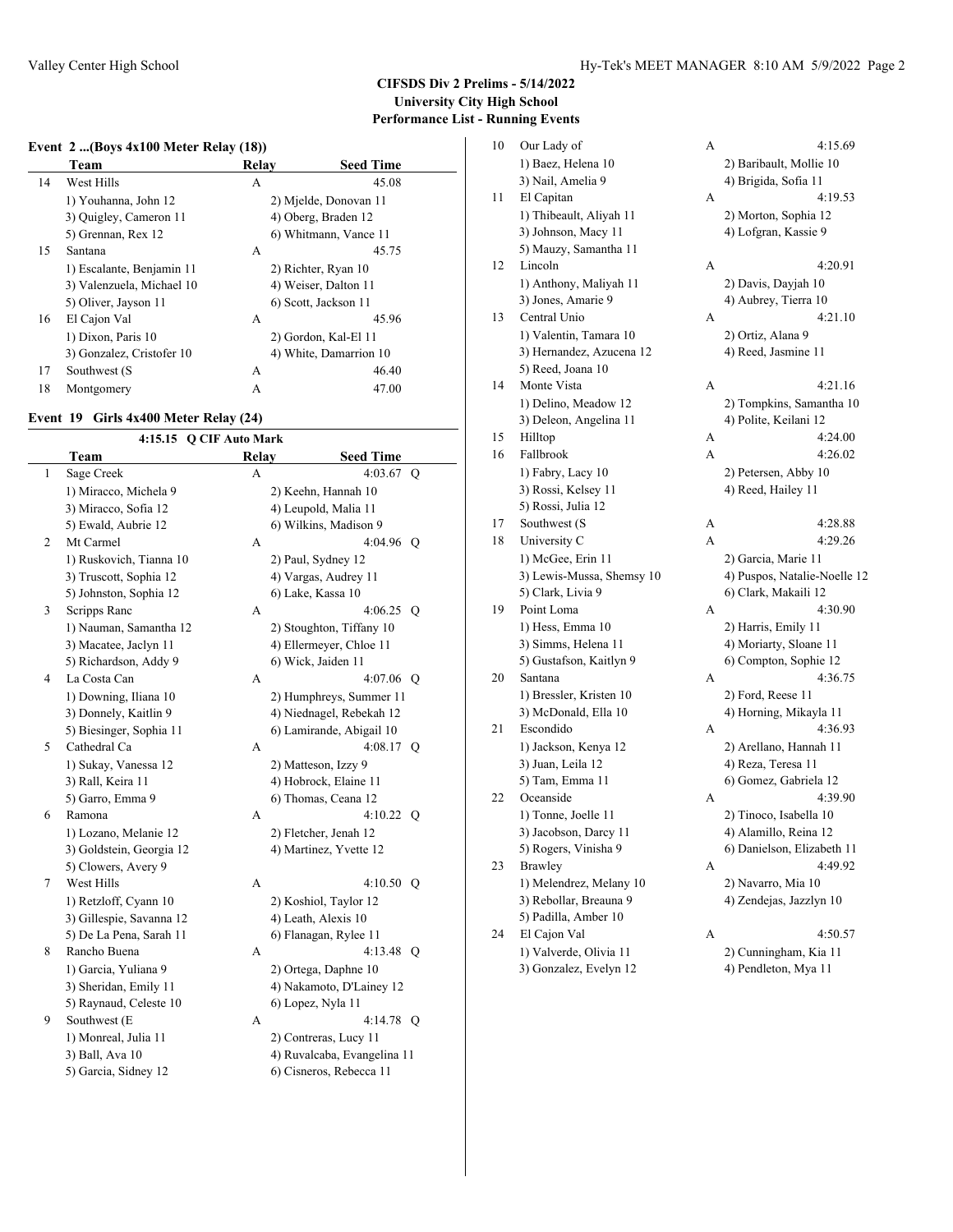## **CIFSDS Div 2 Prelims - 5/14/2022 University City High School Performance List - Running Events**

# **Event 2 ...(Boys 4x100 Meter Relay (18))**

|    | Team                      | Relay | <b>Seed Time</b>       |
|----|---------------------------|-------|------------------------|
| 14 | West Hills                | A     | 45.08                  |
|    | 1) Youhanna, John 12      |       | 2) Mjelde, Donovan 11  |
|    | 3) Quigley, Cameron 11    |       | 4) Oberg, Braden 12    |
|    | 5) Grennan, Rex 12        |       | 6) Whitmann, Vance 11  |
| 15 | Santana                   | A     | 45.75                  |
|    | 1) Escalante, Benjamin 11 |       | 2) Richter, Ryan 10    |
|    | 3) Valenzuela, Michael 10 |       | 4) Weiser, Dalton 11   |
|    | 5) Oliver, Jayson 11      |       | 6) Scott, Jackson 11   |
| 16 | El Cajon Val              | A     | 45.96                  |
|    | 1) Dixon, Paris 10        |       | 2) Gordon, Kal-El 11   |
|    | 3) Gonzalez, Cristofer 10 |       | 4) White, Damarrion 10 |
| 17 | Southwest (S              | A     | 46.40                  |
| 18 | Montgomery                | А     | 47.00                  |

### **Event 19 Girls 4x400 Meter Relay (24)**

| 4:15.15 Q CIF Auto Mark |                          |       |                             |  |
|-------------------------|--------------------------|-------|-----------------------------|--|
|                         | Team                     | Relay | <b>Seed Time</b>            |  |
| $\mathbf{1}$            | Sage Creek               | A     | 4:03.67 $Q$                 |  |
|                         | 1) Miracco, Michela 9    |       | 2) Keehn, Hannah 10         |  |
|                         | 3) Miracco, Sofia 12     |       | 4) Leupold, Malia 11        |  |
|                         | 5) Ewald, Aubrie 12      |       | 6) Wilkins, Madison 9       |  |
| $\overline{2}$          | Mt Carmel                | A     | 4:04.96 O                   |  |
|                         | 1) Ruskovich, Tianna 10  |       | 2) Paul, Sydney 12          |  |
|                         | 3) Truscott, Sophia 12   |       | 4) Vargas, Audrey 11        |  |
|                         | 5) Johnston, Sophia 12   |       | 6) Lake, Kassa 10           |  |
| 3                       | Scripps Ranc             | A     | 4:06.25 Q                   |  |
|                         | 1) Nauman, Samantha 12   |       | 2) Stoughton, Tiffany 10    |  |
|                         | 3) Macatee, Jaclyn 11    |       | 4) Ellermeyer, Chloe 11     |  |
|                         | 5) Richardson, Addy 9    |       | 6) Wick, Jaiden 11          |  |
| $\overline{4}$          | La Costa Can             | A     | $4:07.06$ O                 |  |
|                         | 1) Downing, Iliana 10    |       | 2) Humphreys, Summer 11     |  |
|                         | 3) Donnely, Kaitlin 9    |       | 4) Niednagel, Rebekah 12    |  |
|                         | 5) Biesinger, Sophia 11  |       | 6) Lamirande, Abigail 10    |  |
| 5                       | Cathedral Ca             | A     | 4:08.17 Q                   |  |
|                         | 1) Sukay, Vanessa 12     |       | 2) Matteson, Izzy 9         |  |
|                         | 3) Rall, Keira 11        |       | 4) Hobrock, Elaine 11       |  |
|                         | 5) Garro, Emma 9         |       | 6) Thomas, Ceana 12         |  |
| 6                       | Ramona                   | A     | $4:10.22$ O                 |  |
|                         | 1) Lozano, Melanie 12    |       | 2) Fletcher, Jenah 12       |  |
|                         | 3) Goldstein, Georgia 12 |       | 4) Martinez, Yvette 12      |  |
|                         | 5) Clowers, Avery 9      |       |                             |  |
| $\tau$                  | West Hills               | A     | 4:10.50 O                   |  |
|                         | 1) Retzloff, Cyann 10    |       | 2) Koshiol, Taylor 12       |  |
|                         | 3) Gillespie, Savanna 12 |       | 4) Leath, Alexis 10         |  |
|                         | 5) De La Pena, Sarah 11  |       | 6) Flanagan, Rylee 11       |  |
| 8                       | Rancho Buena             | A     | 4:13.48 Q                   |  |
|                         | 1) Garcia, Yuliana 9     |       | 2) Ortega, Daphne 10        |  |
|                         | 3) Sheridan, Emily 11    |       | 4) Nakamoto, D'Lainey 12    |  |
|                         | 5) Raynaud, Celeste 10   |       | 6) Lopez, Nyla 11           |  |
| 9                       | Southwest (E             | A     | 4:14.78 O                   |  |
|                         | 1) Monreal, Julia 11     |       | 2) Contreras, Lucy 11       |  |
|                         | 3) Ball, Ava 10          |       | 4) Ruvalcaba, Evangelina 11 |  |
|                         | 5) Garcia, Sidney 12     |       | 6) Cisneros, Rebecca 11     |  |
|                         |                          |       |                             |  |

| 10 | Our Lady of               | A | 4:15.69                      |
|----|---------------------------|---|------------------------------|
|    | 1) Baez, Helena 10        |   | 2) Baribault, Mollie 10      |
|    | 3) Nail, Amelia 9         |   | 4) Brigida, Sofia 11         |
| 11 | El Capitan                | A | 4:19.53                      |
|    | 1) Thibeault, Aliyah 11   |   | 2) Morton, Sophia 12         |
|    | 3) Johnson, Macy 11       |   | 4) Lofgran, Kassie 9         |
|    | 5) Mauzy, Samantha 11     |   |                              |
| 12 | Lincoln                   | А | 4:20.91                      |
|    | 1) Anthony, Maliyah 11    |   | 2) Davis, Dayjah 10          |
|    | 3) Jones, Amarie 9        |   | 4) Aubrey, Tierra 10         |
| 13 | Central Unio              | А | 4:21.10                      |
|    | 1) Valentin, Tamara 10    |   | 2) Ortiz, Alana 9            |
|    | 3) Hernandez, Azucena 12  |   | 4) Reed, Jasmine 11          |
|    | 5) Reed, Joana 10         |   |                              |
| 14 | Monte Vista               | А | 4:21.16                      |
|    | 1) Delino, Meadow 12      |   | 2) Tompkins, Samantha 10     |
|    | 3) Deleon, Angelina 11    |   | 4) Polite, Keilani 12        |
| 15 | Hilltop                   | А | 4:24.00                      |
| 16 | Fallbrook                 | A | 4:26.02                      |
|    | 1) Fabry, Lacy 10         |   | 2) Petersen, Abby 10         |
|    | 3) Rossi, Kelsey 11       |   | 4) Reed, Hailey 11           |
|    | 5) Rossi, Julia 12        |   |                              |
| 17 | Southwest (S              | А | 4:28.88                      |
| 18 | University C              | A | 4:29.26                      |
|    | 1) McGee, Erin 11         |   | 2) Garcia, Marie 11          |
|    | 3) Lewis-Mussa, Shemsy 10 |   | 4) Puspos, Natalie-Noelle 12 |
|    | 5) Clark, Livia 9         |   | 6) Clark, Makaili 12         |
| 19 | Point Loma                | A | 4:30.90                      |
|    | 1) Hess, Emma 10          |   | 2) Harris, Emily 11          |
|    | 3) Simms, Helena 11       |   | 4) Moriarty, Sloane 11       |
|    | 5) Gustafson, Kaitlyn 9   |   | 6) Compton, Sophie 12        |
| 20 | Santana                   | А | 4:36.75                      |
|    | 1) Bressler, Kristen 10   |   | 2) Ford, Reese 11            |
|    | 3) McDonald, Ella 10      |   | 4) Horning, Mikayla 11       |
| 21 | Escondido                 | А | 4:36.93                      |
|    | 1) Jackson, Kenya 12      |   | 2) Arellano, Hannah 11       |
|    | 3) Juan, Leila 12         |   | 4) Reza, Teresa 11           |
|    | 5) Tam, Emma 11           |   | 6) Gomez, Gabriela 12        |
| 22 | Oceanside                 | A | 4:39.90                      |
|    | 1) Tonne, Joelle 11       |   | 2) Tinoco, Isabella 10       |
|    | 3) Jacobson, Darcy 11     |   | 4) Alamillo, Reina 12        |
|    | 5) Rogers, Vinisha 9      |   | 6) Danielson, Elizabeth 11   |
| 23 | Brawley                   | A | 4:49.92                      |
|    | 1) Melendrez, Melany 10   |   | 2) Navarro, Mia 10           |
|    | 3) Rebollar, Breauna 9    |   | 4) Zendejas, Jazzlyn 10      |
|    | 5) Padilla, Amber 10      |   |                              |
| 24 | El Cajon Val              | А | 4:50.57                      |
|    | 1) Valverde, Olivia 11    |   | 2) Cunningham, Kia 11        |
|    | 3) Gonzalez, Evelyn 12    |   | 4) Pendleton, Mya 11         |
|    |                           |   |                              |